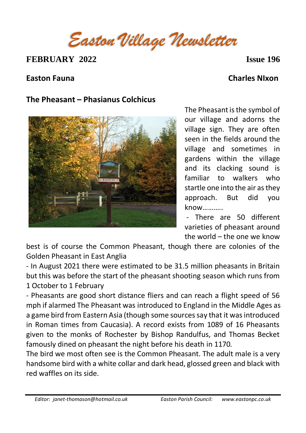*Easton Village Newsletter*

**FEBRUARY 2022 Issue 196** 

**Easton Fauna Charles NIxon**

## **The Pheasant – Phasianus Colchicus**



The Pheasant is the symbol of our village and adorns the village sign. They are often seen in the fields around the village and sometimes in gardens within the village and its clacking sound is familiar to walkers who startle one into the air as they approach. But did you know………..

- There are 50 different varieties of pheasant around the world – the one we know

best is of course the Common Pheasant, though there are colonies of the Golden Pheasant in East Anglia

- In August 2021 there were estimated to be 31.5 million pheasants in Britain but this was before the start of the pheasant shooting season which runs from 1 October to 1 February

- Pheasants are good short distance fliers and can reach a flight speed of 56 mph if alarmed The Pheasant was introduced to England in the Middle Ages as a game bird from Eastern Asia (though some sources say that it was introduced in Roman times from Caucasia). A record exists from 1089 of 16 Pheasants given to the monks of Rochester by Bishop Randulfus, and Thomas Becket famously dined on pheasant the night before his death in 1170.

The bird we most often see is the Common Pheasant. The adult male is a very handsome bird with a white collar and dark head, glossed green and black with red waffles on its side.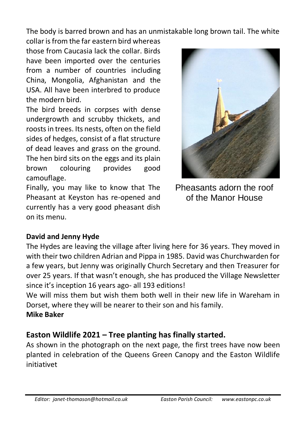The body is barred brown and has an unmistakable long brown tail. The white

collar is from the far eastern bird whereas those from Caucasia lack the collar. Birds have been imported over the centuries from a number of countries including China, Mongolia, Afghanistan and the USA. All have been interbred to produce the modern bird.

The bird breeds in corpses with dense undergrowth and scrubby thickets, and roosts in trees. Its nests, often on the field sides of hedges, consist of a flat structure of dead leaves and grass on the ground. The hen bird sits on the eggs and its plain brown colouring provides good camouflage.

Finally, you may like to know that The Pheasant at Keyston has re-opened and currently has a very good pheasant dish on its menu.

Pheasants adorn the roof of the Manor House

## **David and Jenny Hyde**

The Hydes are leaving the village after living here for 36 years. They moved in with their two children Adrian and Pippa in 1985. David was Churchwarden for a few years, but Jenny was originally Church Secretary and then Treasurer for over 25 years. If that wasn't enough, she has produced the Village Newsletter since it's inception 16 years ago- all 193 editions!

We will miss them but wish them both well in their new life in Wareham in Dorset, where they will be nearer to their son and his family.

### **Mike Baker**

# **Easton Wildlife 2021 – Tree planting has finally started.**

As shown in the photograph on the next page, the first trees have now been planted in celebration of the Queens Green Canopy and the Easton Wildlife initiativet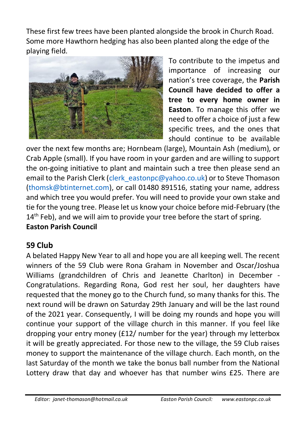These first few trees have been planted alongside the brook in Church Road. Some more Hawthorn hedging has also been planted along the edge of the playing field.



To contribute to the impetus and importance of increasing our nation's tree coverage, the **Parish Council have decided to offer a tree to every home owner in Easton**. To manage this offer we need to offer a choice of just a few specific trees, and the ones that should continue to be available

over the next few months are; Hornbeam (large), Mountain Ash (medium), or Crab Apple (small). If you have room in your garden and are willing to support the on-going initiative to plant and maintain such a tree then please send an email to the Parish Clerk (clerk eastonpc@yahoo.co.uk) or to Steve Thomason [\(thomsk@btinternet.com\)](mailto:thomsk@btinternet.com), or call 01480 891516, stating your name, address and which tree you would prefer. You will need to provide your own stake and tie for the young tree. Please let us know your choice before mid-February (the 14<sup>th</sup> Feb), and we will aim to provide your tree before the start of spring. **Easton Parish Council**

# **59 Club**

A belated Happy New Year to all and hope you are all keeping well. The recent winners of the 59 Club were Rona Graham in November and Oscar/Joshua Williams (grandchildren of Chris and Jeanette Charlton) in December - Congratulations. Regarding Rona, God rest her soul, her daughters have requested that the money go to the Church fund, so many thanks for this. The next round will be drawn on Saturday 29th January and will be the last round of the 2021 year. Consequently, I will be doing my rounds and hope you will continue your support of the village church in this manner. If you feel like dropping your entry money (£12/ number for the year) through my letterbox it will be greatly appreciated. For those new to the village, the 59 Club raises money to support the maintenance of the village church. Each month, on the last Saturday of the month we take the bonus ball number from the National Lottery draw that day and whoever has that number wins £25. There are